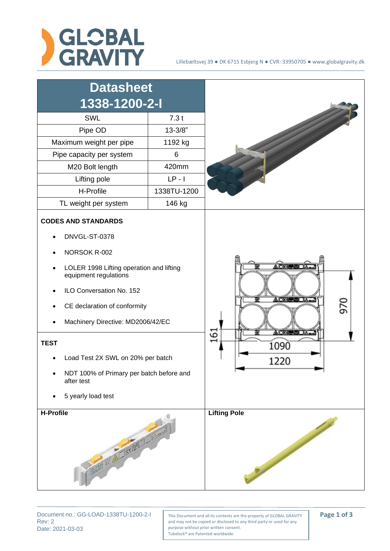



Rev: 2 Date: 2021-03-03

Document no.: GG-LOAD-1338TU-1200-2-1 | This Document and all its contents are the property of GLOBAL GRAVITY | **Page 1 of 3** and may not be copied or disclosed to any third party or used for any purpose without prior written consent. Tubelock® are Patented worldwide.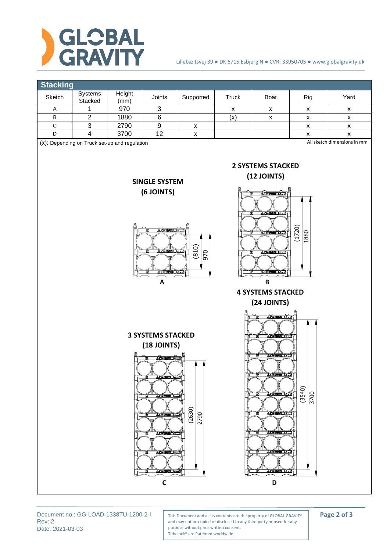



Rev: 2 Date: 2021-03-03

Document no.: GG-LOAD-1338TU-1200-2-1 | This Document and all its contents are the property of GLOBAL GRAVITY | **Page 2 of 3** and may not be copied or disclosed to any third party or used for any purpose without prior written consent. Tubelock® are Patented worldwide.